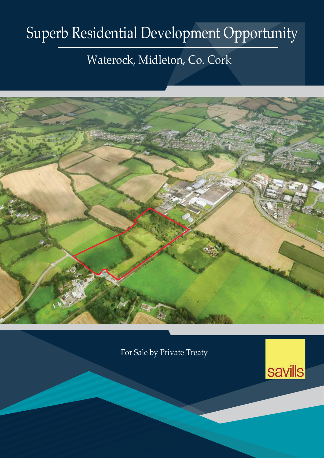# Superb Residential Development Opportunity

## Waterock, Midleton, Co. Cork



For Sale by Private Treaty

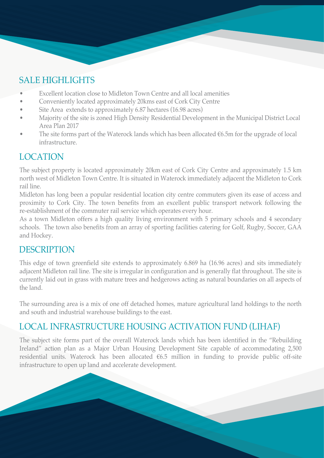### SALE HIGHLIGHTS

- Excellent location close to Midleton Town Centre and all local amenities
- Conveniently located approximately 20kms east of Cork City Centre
- Site Area extends to approximately 6.87 hectares (16.98 acres)
- Majority of the site is zoned High Density Residential Development in the Municipal District Local Area Plan 2017
- The site forms part of the Waterock lands which has been allocated €6.5m for the upgrade of local infrastructure.

### LOCATION

The subject property is located approximately 20km east of Cork City Centre and approximately 1.5 km north west of Midleton Town Centre. It is situated in Waterock immediately adjacent the Midleton to Cork rail line.

Midleton has long been a popular residential location city centre commuters given its ease of access and proximity to Cork City. The town benefits from an excellent public transport network following the re-establishment of the commuter rail service which operates every hour.

As a town Midleton offers a high quality living environment with 5 primary schools and 4 secondary schools. The town also benefits from an array of sporting facilities catering for Golf, Rugby, Soccer, GAA and Hockey.

#### **DESCRIPTION**

This edge of town greenfield site extends to approximately 6.869 ha (16.96 acres) and sits immediately adjacent Midleton rail line. The site is irregular in configuration and is generally flat throughout. The site is currently laid out in grass with mature trees and hedgerows acting as natural boundaries on all aspects of the land.

The surrounding area is a mix of one off detached homes, mature agricultural land holdings to the north and south and industrial warehouse buildings to the east.

### LOCAL INFRASTRUCTURE HOUSING ACTIVATION FUND (LIHAF)

The subject site forms part of the overall Waterock lands which has been identified in the "Rebuilding Ireland" action plan as a Major Urban Housing Development Site capable of accommodating 2,500 residential units. Waterock has been allocated €6.5 million in funding to provide public off-site infrastructure to open up land and accelerate development.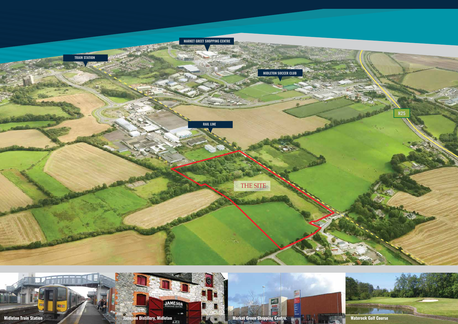



JAMESON

**Midleton Train Station Materock Golf Course**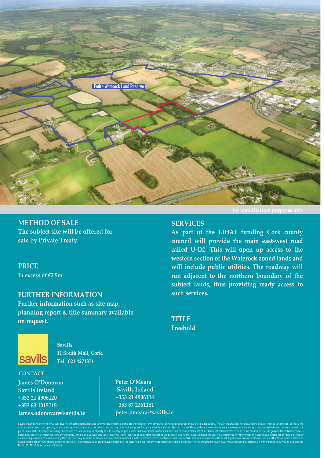

**METHOD OF SALE The subject site will be offered for sale by Private Treaty.**

**PRICE In excess of €2.5m**

#### **FURTHER INFORMATION**

**Further information such as site map, planning report & title summary available on request.**



**Savills 11 South Mall, Cork. Tel: 021 4271371**

#### **CONTACT**

**James O'Donovan Savills Ireland +353 21 4906120 +353 83 1015715 James.odonovan@savills.ie** **Peter O'Meara Savills Ireland +353 21 4906114 +353 87 2361181 peter.omeara@savills.ie**

Savills Ireland and the Vendor/Lessor give note that the particulars and information contained in this brochure do not form any part of any offer or contract and are for quidance only. The particulars, descriptions, dimens or licences for use or occupation, access and any other details, such as prices, rents or any other outgoings are for quidance only and are subject to change. Maps and plans are not to scale and measurements are approximat preparation of this brochure intending purchasers, Lessees or any third party should not rely on particulars and information contained in this brochure as statements of fact but must satisfy themselves as to the accuracy o Ireland nor any of its employees have any authority to make or give any representation or warranty (express or implied) in relation to the property and neither Savills Ireland nor any of its employees nor the vendor or les shall be liable for any VAT arising on the transaction. This brochure is issued by Savills Ireland on the understanding that any negotiations relating to the property are conducted through it. All maps produced by permissi an intending purchaser/Lessees or any third party arising from the particulars or information contained in this brochure. Prices quoted are exclusive of VAT (unless otherwise stated) and all negotiations are conducted on t No AU 001799 © Government of Ireland.

#### **SERVICES**

**As part of the LIHAF funding Cork county council will provide the main east-west road called U-O2. This will open up access to the western section of the Waterock zoned lands and will include public utilities. The roadway will run adjacent to the northern boundary of the subject lands, thus providing ready access to such services.**

**TITLE Freehold**